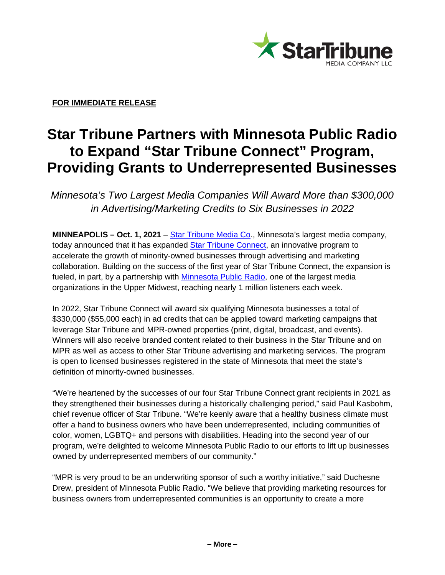

**FOR IMMEDIATE RELEASE**

## **Star Tribune Partners with Minnesota Public Radio to Expand "Star Tribune Connect" Program, Providing Grants to Underrepresented Businesses**

*Minnesota's Two Largest Media Companies Will Award More than \$300,000 in Advertising/Marketing Credits to Six Businesses in 2022*

**MINNEAPOLIS – Oct. 1, 2021** – Star [Tribune](http://www.startribunecompany.com/) Media Co., Minnesota's largest media company, today announced that it has expanded Star Tribune [Connect,](http://static.startribune.com/connect/) an innovative program to accelerate the growth of minority-owned businesses through advertising and marketing collaboration. Building on the success of the first year of Star Tribune Connect, the expansion is fueled, in part, by a partnership with [Minnesota](http://www.mpr.org/) Public Radio, one of the largest media organizations in the Upper Midwest, reaching nearly 1 million listeners each week.

In 2022, Star Tribune Connect will award six qualifying Minnesota businesses a total of \$330,000 (\$55,000 each) in ad credits that can be applied toward marketing campaigns that leverage Star Tribune and MPR-owned properties (print, digital, broadcast, and events). Winners will also receive branded content related to their business in the Star Tribune and on MPR as well as access to other Star Tribune advertising and marketing services. The program is open to licensed businesses registered in the state of Minnesota that meet the state's definition of minority-owned businesses.

"We're heartened by the successes of our four Star Tribune Connect grant recipients in 2021 as they strengthened their businesses during a historically challenging period," said Paul Kasbohm, chief revenue officer of Star Tribune. "We're keenly aware that a healthy business climate must offer a hand to business owners who have been underrepresented, including communities of color, women, LGBTQ+ and persons with disabilities. Heading into the second year of our program, we're delighted to welcome Minnesota Public Radio to our efforts to lift up businesses owned by underrepresented members of our community."

"MPR is very proud to be an underwriting sponsor of such a worthy initiative," said Duchesne Drew, president of Minnesota Public Radio. "We believe that providing marketing resources for business owners from underrepresented communities is an opportunity to create a more